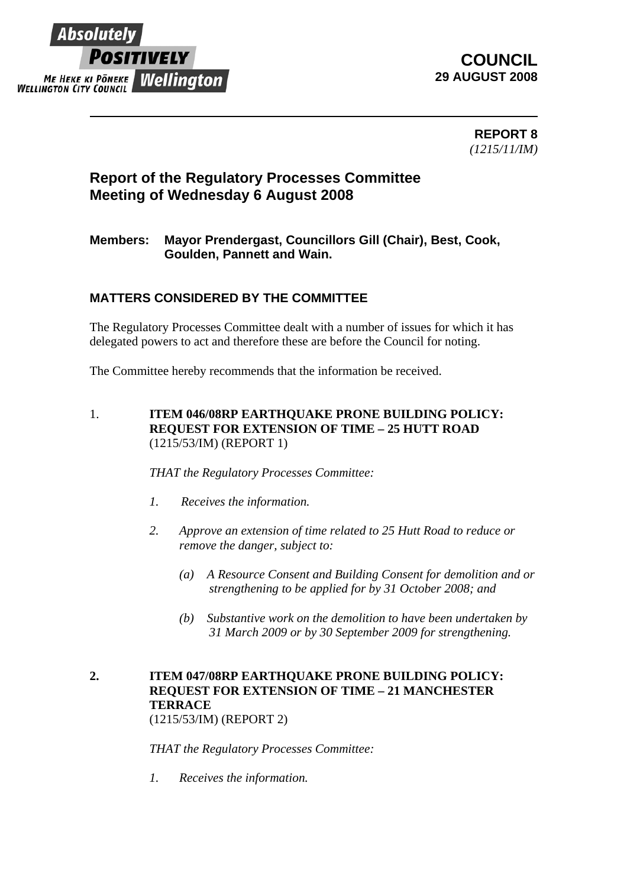

## **COUNCIL 29 AUGUST 2008**

**REPORT 8**  *(1215/11/IM)* 

# **Report of the Regulatory Processes Committee Meeting of Wednesday 6 August 2008**

### **Members: Mayor Prendergast, Councillors Gill (Chair), Best, Cook, Goulden, Pannett and Wain.**

### **MATTERS CONSIDERED BY THE COMMITTEE**

The Regulatory Processes Committee dealt with a number of issues for which it has delegated powers to act and therefore these are before the Council for noting.

The Committee hereby recommends that the information be received.

1. **ITEM 046/08RP EARTHQUAKE PRONE BUILDING POLICY: REQUEST FOR EXTENSION OF TIME – 25 HUTT ROAD** (1215/53/IM) (REPORT 1)

*THAT the Regulatory Processes Committee:*

- *1. Receives the information.*
- *2. Approve an extension of time related to 25 Hutt Road to reduce or remove the danger, subject to:* 
	- *(a) A Resource Consent and Building Consent for demolition and or strengthening to be applied for by 31 October 2008; and*
	- *(b) Substantive work on the demolition to have been undertaken by 31 March 2009 or by 30 September 2009 for strengthening.*

## **2. ITEM 047/08RP EARTHQUAKE PRONE BUILDING POLICY: REQUEST FOR EXTENSION OF TIME – 21 MANCHESTER TERRACE**

(1215/53/IM) (REPORT 2)

*THAT the Regulatory Processes Committee:*

*1. Receives the information.*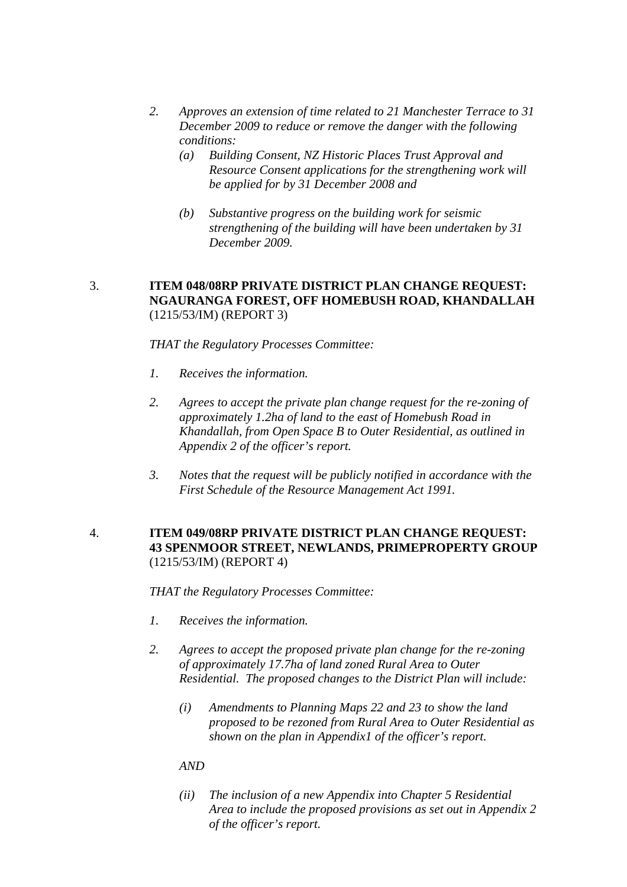- *2. Approves an extension of time related to 21 Manchester Terrace to 31 December 2009 to reduce or remove the danger with the following conditions:* 
	- *(a) Building Consent, NZ Historic Places Trust Approval and Resource Consent applications for the strengthening work will be applied for by 31 December 2008 and*
	- *(b) Substantive progress on the building work for seismic strengthening of the building will have been undertaken by 31 December 2009.*

#### 3. **ITEM 048/08RP PRIVATE DISTRICT PLAN CHANGE REQUEST: NGAURANGA FOREST, OFF HOMEBUSH ROAD, KHANDALLAH**  (1215/53/IM) (REPORT 3)

*THAT the Regulatory Processes Committee:*

- *1. Receives the information.*
- *2. Agrees to accept the private plan change request for the re-zoning of approximately 1.2ha of land to the east of Homebush Road in Khandallah, from Open Space B to Outer Residential, as outlined in Appendix 2 of the officer's report.*
- *3. Notes that the request will be publicly notified in accordance with the First Schedule of the Resource Management Act 1991.*

#### 4. **ITEM 049/08RP PRIVATE DISTRICT PLAN CHANGE REQUEST: 43 SPENMOOR STREET, NEWLANDS, PRIMEPROPERTY GROUP** (1215/53/IM) (REPORT 4)

*THAT the Regulatory Processes Committee:*

- *1. Receives the information.*
- *2. Agrees to accept the proposed private plan change for the re-zoning of approximately 17.7ha of land zoned Rural Area to Outer Residential. The proposed changes to the District Plan will include:* 
	- *(i) Amendments to Planning Maps 22 and 23 to show the land proposed to be rezoned from Rural Area to Outer Residential as shown on the plan in Appendix1 of the officer's report.*

#### *AND*

*(ii) The inclusion of a new Appendix into Chapter 5 Residential Area to include the proposed provisions as set out in Appendix 2 of the officer's report.*